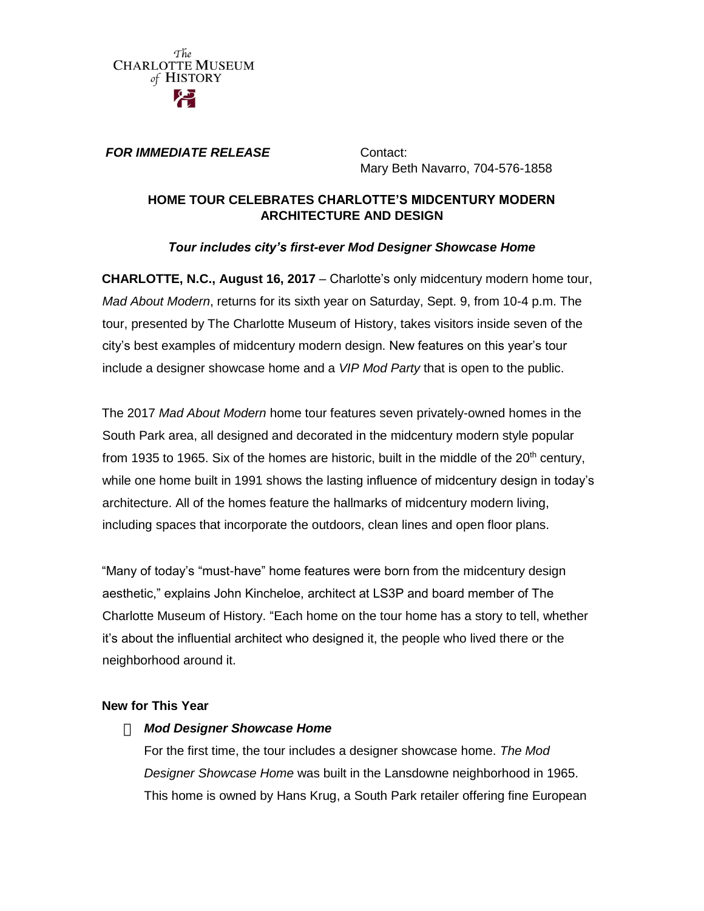The **CHARLOTTE MUSEUM** of HISTORY

#### *FOR IMMEDIATE RELEASE* **Contact:**

Mary Beth Navarro, 704-576-1858

### **HOME TOUR CELEBRATES CHARLOTTE'S MIDCENTURY MODERN ARCHITECTURE AND DESIGN**

### *Tour includes city's first-ever Mod Designer Showcase Home*

**CHARLOTTE, N.C., August 16, 2017** – Charlotte's only midcentury modern home tour, *Mad About Modern*, returns for its sixth year on Saturday, Sept. 9, from 10-4 p.m. The tour, presented by The Charlotte Museum of History, takes visitors inside seven of the city's best examples of midcentury modern design. New features on this year's tour include a designer showcase home and a *VIP Mod Party* that is open to the public.

The 2017 *Mad About Modern* home tour features seven privately-owned homes in the South Park area, all designed and decorated in the midcentury modern style popular from 1935 to 1965. Six of the homes are historic, built in the middle of the  $20<sup>th</sup>$  century, while one home built in 1991 shows the lasting influence of midcentury design in today's architecture. All of the homes feature the hallmarks of midcentury modern living, including spaces that incorporate the outdoors, clean lines and open floor plans.

"Many of today's "must-have" home features were born from the midcentury design aesthetic," explains John Kincheloe, architect at LS3P and board member of The Charlotte Museum of History. "Each home on the tour home has a story to tell, whether it's about the influential architect who designed it, the people who lived there or the neighborhood around it.

### **New for This Year**

### *Mod Designer Showcase Home*

For the first time, the tour includes a designer showcase home. *The Mod Designer Showcase Home* was built in the Lansdowne neighborhood in 1965. This home is owned by Hans Krug, a South Park retailer offering fine European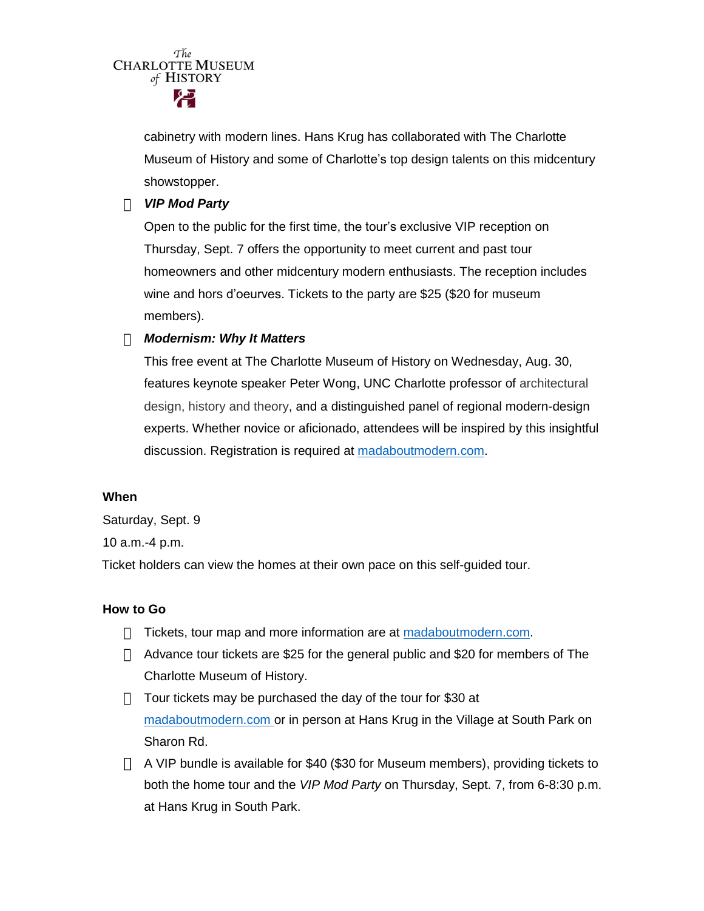The **CHARLOTTE MUSEUM** of HISTORY

> cabinetry with modern lines. Hans Krug has collaborated with The Charlotte Museum of History and some of Charlotte's top design talents on this midcentury showstopper.

### *VIP Mod Party*

Open to the public for the first time, the tour's exclusive VIP reception on Thursday, Sept. 7 offers the opportunity to meet current and past tour homeowners and other midcentury modern enthusiasts. The reception includes wine and hors d'oeurves. Tickets to the party are \$25 (\$20 for museum members).

# *Modernism: Why It Matters*

This free event at The Charlotte Museum of History on Wednesday, Aug. 30, features keynote speaker Peter Wong, UNC Charlotte professor of architectural design, history and theory, and a distinguished panel of regional modern-design experts. Whether novice or aficionado, attendees will be inspired by this insightful discussion. Registration is required at [madaboutmodern.com.](file:///C:/Users/Mary%20Beth/Documents/My%20Dropbox/Navarro%20Comms%20LLC/CMH/Media%20pitches/madaboutmodern.com)

### **When**

Saturday, Sept. 9

10 a.m.-4 p.m.

Ticket holders can view the homes at their own pace on this self-guided tour.

### **How to Go**

- $\Box$  Tickets, tour map and more information are at [madaboutmodern.com.](file:///C:/Users/Mary%20Beth/Documents/My%20Dropbox/Navarro%20Comms%20LLC/CMH/Media%20pitches/madaboutmodern.com)
- $\Box$  Advance tour tickets are \$25 for the general public and \$20 for members of The Charlotte Museum of History.
- $\Box$  Tour tickets may be purchased the day of the tour for \$30 at [madaboutmodern.com o](file:///C:/Users/lisa/Documents/lisa%20v%20gray/Clients/Levridge/CMH/Marketing/PR/madaboutmodern.com)r in person at Hans Krug in the Village at South Park on Sharon Rd.
- $\Box$  A VIP bundle is available for \$40 (\$30 for Museum members), providing tickets to both the home tour and the *VIP Mod Party* on Thursday, Sept. 7, from 6-8:30 p.m. at Hans Krug in South Park.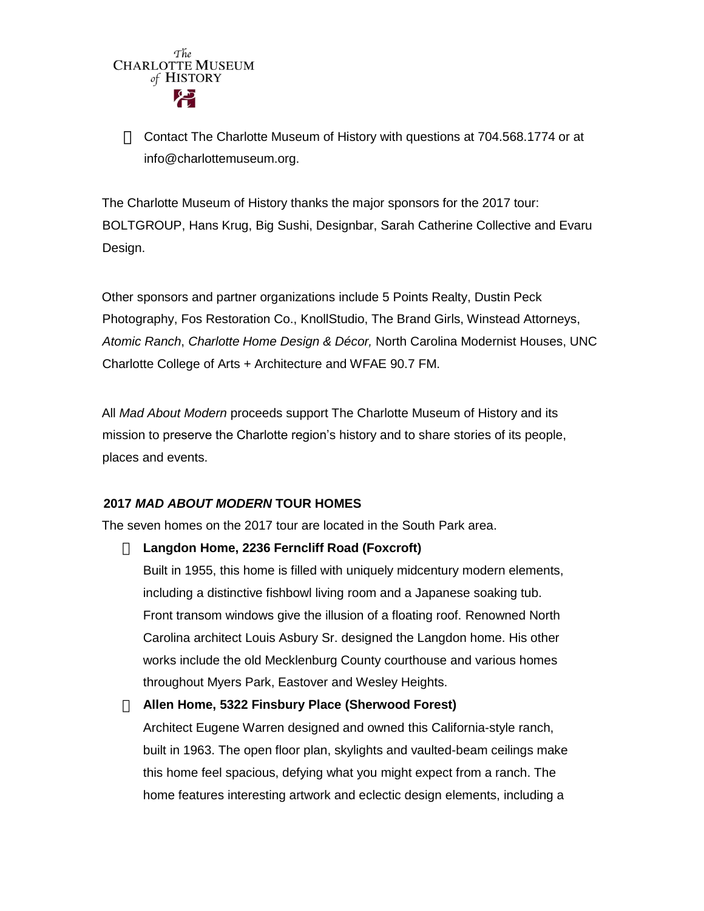

Contact The Charlotte Museum of History with questions at 704.568.1774 or at info@charlottemuseum.org.

The Charlotte Museum of History thanks the major sponsors for the 2017 tour: BOLTGROUP, Hans Krug, Big Sushi, Designbar, Sarah Catherine Collective and Evaru Design.

Other sponsors and partner organizations include 5 Points Realty, Dustin Peck Photography, Fos Restoration Co., KnollStudio, The Brand Girls, Winstead Attorneys, *Atomic Ranch*, *Charlotte Home Design & Décor,* North Carolina Modernist Houses, UNC Charlotte College of Arts + Architecture and WFAE 90.7 FM.

All *Mad About Modern* proceeds support The Charlotte Museum of History and its mission to preserve the Charlotte region's history and to share stories of its people, places and events.

### **2017** *MAD ABOUT MODERN* **TOUR HOMES**

The seven homes on the 2017 tour are located in the South Park area.

### **Langdon Home, 2236 Ferncliff Road (Foxcroft)**

Built in 1955, this home is filled with uniquely midcentury modern elements, including a distinctive fishbowl living room and a Japanese soaking tub. Front transom windows give the illusion of a floating roof. Renowned North Carolina architect Louis Asbury Sr. designed the Langdon home. His other works include the old Mecklenburg County courthouse and various homes throughout Myers Park, Eastover and Wesley Heights.

### **Allen Home, 5322 Finsbury Place (Sherwood Forest)**

Architect Eugene Warren designed and owned this California-style ranch, built in 1963. The open floor plan, skylights and vaulted-beam ceilings make this home feel spacious, defying what you might expect from a ranch. The home features interesting artwork and eclectic design elements, including a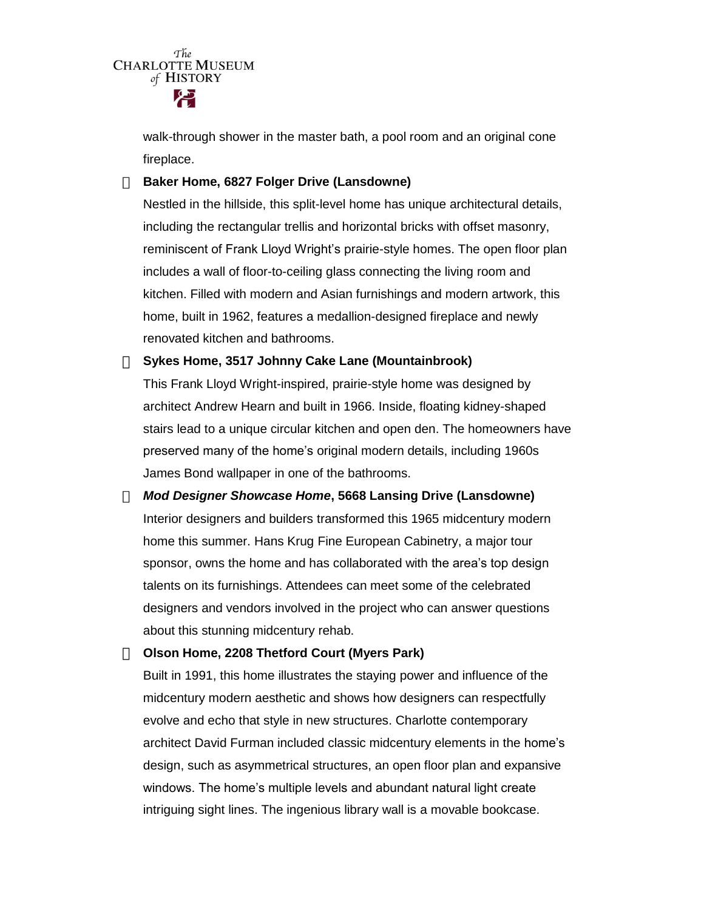The **CHARLOTTE MUSEUM** of HISTORY

> walk-through shower in the master bath, a pool room and an original cone fireplace.

#### **Baker Home, 6827 Folger Drive (Lansdowne)**

Nestled in the hillside, this split-level home has unique architectural details, including the rectangular trellis and horizontal bricks with offset masonry, reminiscent of Frank Lloyd Wright's prairie-style homes. The open floor plan includes a wall of floor-to-ceiling glass connecting the living room and kitchen. Filled with modern and Asian furnishings and modern artwork, this home, built in 1962, features a medallion-designed fireplace and newly renovated kitchen and bathrooms.

**Sykes Home, 3517 Johnny Cake Lane (Mountainbrook)**

This Frank Lloyd Wright-inspired, prairie-style home was designed by architect Andrew Hearn and built in 1966. Inside, floating kidney-shaped stairs lead to a unique circular kitchen and open den. The homeowners have preserved many of the home's original modern details, including 1960s James Bond wallpaper in one of the bathrooms.

*Mod Designer Showcase Home***, 5668 Lansing Drive (Lansdowne)** Interior designers and builders transformed this 1965 midcentury modern home this summer. Hans Krug Fine European Cabinetry, a major tour sponsor, owns the home and has collaborated with the area's top design talents on its furnishings. Attendees can meet some of the celebrated designers and vendors involved in the project who can answer questions about this stunning midcentury rehab.

**Olson Home, 2208 Thetford Court (Myers Park)**

Built in 1991, this home illustrates the staying power and influence of the midcentury modern aesthetic and shows how designers can respectfully evolve and echo that style in new structures. Charlotte contemporary architect David Furman included classic midcentury elements in the home's design, such as asymmetrical structures, an open floor plan and expansive windows. The home's multiple levels and abundant natural light create intriguing sight lines. The ingenious library wall is a movable bookcase.